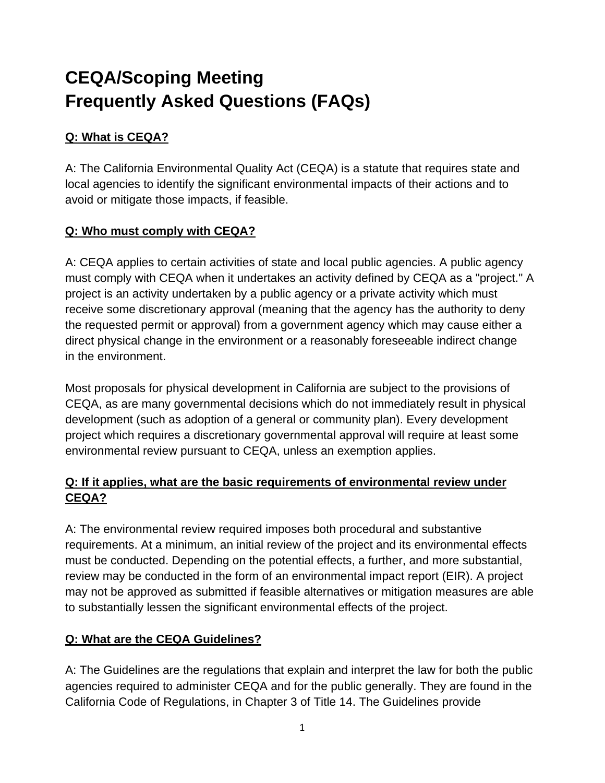# **CEQA/Scoping Meeting Frequently Asked Questions (FAQs)**

## **Q: What is CEQA?**

A: The California Environmental Quality Act (CEQA) is a statute that requires state and local agencies to identify the significant environmental impacts of their actions and to avoid or mitigate those impacts, if feasible.

## **Q: Who must comply with CEQA?**

A: CEQA applies to certain activities of state and local public agencies. A public agency must comply with CEQA when it undertakes an activity defined by CEQA as a "project." A project is an activity undertaken by a public agency or a private activity which must receive some discretionary approval (meaning that the agency has the authority to deny the requested permit or approval) from a government agency which may cause either a direct physical change in the environment or a reasonably foreseeable indirect change in the environment.

Most proposals for physical development in California are subject to the provisions of CEQA, as are many governmental decisions which do not immediately result in physical development (such as adoption of a general or community plan). Every development project which requires a discretionary governmental approval will require at least some environmental review pursuant to CEQA, unless an exemption applies.

#### **Q: If it applies, what are the basic requirements of environmental review under CEQA?**

A: The environmental review required imposes both procedural and substantive requirements. At a minimum, an initial review of the project and its environmental effects must be conducted. Depending on the potential effects, a further, and more substantial, review may be conducted in the form of an environmental impact report (EIR). A project may not be approved as submitted if feasible alternatives or mitigation measures are able to substantially lessen the significant environmental effects of the project.

## **Q: What are the CEQA Guidelines?**

A: The Guidelines are the regulations that explain and interpret the law for both the public agencies required to administer CEQA and for the public generally. They are found in the California Code of Regulations, in Chapter 3 of Title 14. The Guidelines provide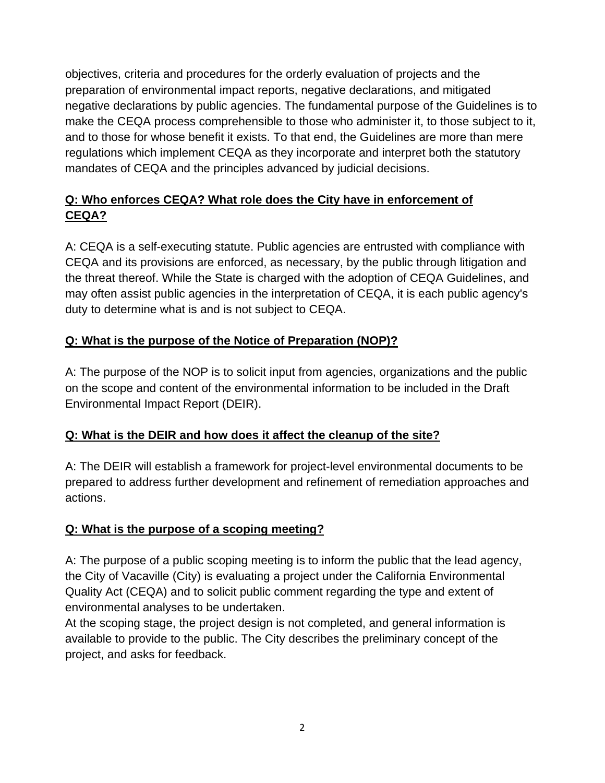objectives, criteria and procedures for the orderly evaluation of projects and the preparation of environmental impact reports, negative declarations, and mitigated negative declarations by public agencies. The fundamental purpose of the Guidelines is to make the CEQA process comprehensible to those who administer it, to those subject to it, and to those for whose benefit it exists. To that end, the Guidelines are more than mere regulations which implement CEQA as they incorporate and interpret both the statutory mandates of CEQA and the principles advanced by judicial decisions.

## **Q: Who enforces CEQA? What role does the City have in enforcement of CEQA?**

A: CEQA is a self-executing statute. Public agencies are entrusted with compliance with CEQA and its provisions are enforced, as necessary, by the public through litigation and the threat thereof. While the State is charged with the adoption of CEQA Guidelines, and may often assist public agencies in the interpretation of CEQA, it is each public agency's duty to determine what is and is not subject to CEQA.

## **Q: What is the purpose of the Notice of Preparation (NOP)?**

A: The purpose of the NOP is to solicit input from agencies, organizations and the public on the scope and content of the environmental information to be included in the Draft Environmental Impact Report (DEIR).

## **Q: What is the DEIR and how does it affect the cleanup of the site?**

A: The DEIR will establish a framework for project-level environmental documents to be prepared to address further development and refinement of remediation approaches and actions.

## **Q: What is the purpose of a scoping meeting?**

A: The purpose of a public scoping meeting is to inform the public that the lead agency, the City of Vacaville (City) is evaluating a project under the California Environmental Quality Act (CEQA) and to solicit public comment regarding the type and extent of environmental analyses to be undertaken.

At the scoping stage, the project design is not completed, and general information is available to provide to the public. The City describes the preliminary concept of the project, and asks for feedback.